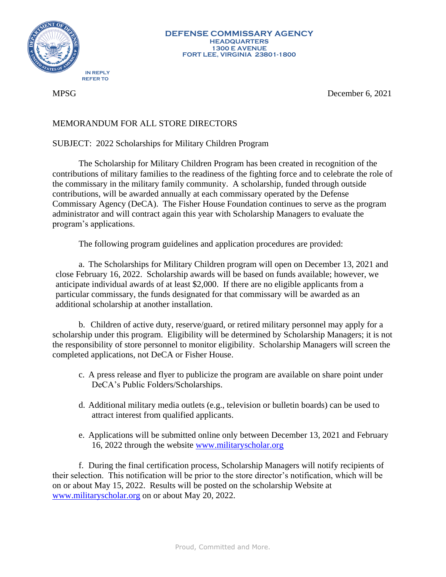

MPSG December 6, 2021

## MEMORANDUM FOR ALL STORE DIRECTORS

SUBJECT: 2022 Scholarships for Military Children Program

The Scholarship for Military Children Program has been created in recognition of the contributions of military families to the readiness of the fighting force and to celebrate the role of the commissary in the military family community. A scholarship, funded through outside contributions, will be awarded annually at each commissary operated by the Defense Commissary Agency (DeCA). The Fisher House Foundation continues to serve as the program administrator and will contract again this year with Scholarship Managers to evaluate the program's applications.

The following program guidelines and application procedures are provided:

a. The Scholarships for Military Children program will open on December 13, 2021 and close February 16, 2022. Scholarship awards will be based on funds available; however, we anticipate individual awards of at least \$2,000. If there are no eligible applicants from a particular commissary, the funds designated for that commissary will be awarded as an additional scholarship at another installation.

b. Children of active duty, reserve/guard, or retired military personnel may apply for a scholarship under this program. Eligibility will be determined by Scholarship Managers; it is not the responsibility of store personnel to monitor eligibility. Scholarship Managers will screen the completed applications, not DeCA or Fisher House.

- c. A press release and flyer to publicize the program are available on share point under DeCA's Public Folders/Scholarships.
- d. Additional military media outlets (e.g., television or bulletin boards) can be used to attract interest from qualified applicants.
- e. Applications will be submitted online only between December 13, 2021 and February 16, 2022 through the website [www.militaryscholar.org](http://www.militaryscholar.org/)

 f. During the final certification process, Scholarship Managers will notify recipients of their selection. This notification will be prior to the store director's notification, which will be on or about May 15, 2022. Results will be posted on the scholarship Website at [www.militaryscholar.org](http://www.militaryscholar.org/) on or about May 20, 2022.